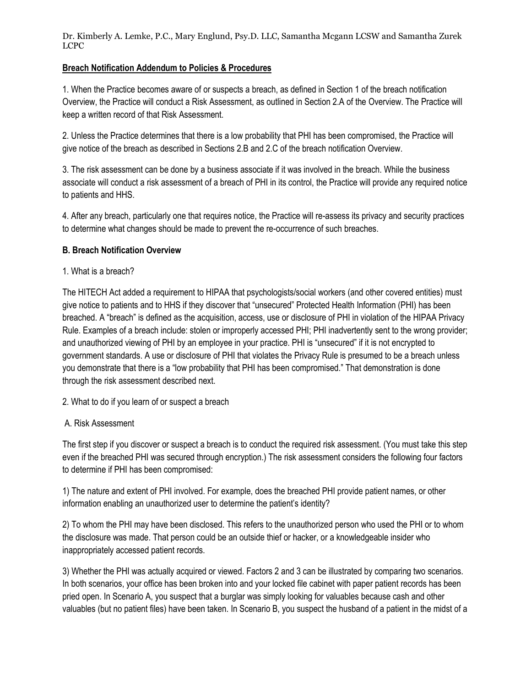Dr. Kimberly A. Lemke, P.C., Mary Englund, Psy.D. LLC, Samantha Mcgann LCSW and Samantha Zurek LCPC

## **Breach Notification Addendum to Policies & Procedures**

1. When the Practice becomes aware of or suspects a breach, as defined in Section 1 of the breach notification Overview, the Practice will conduct a Risk Assessment, as outlined in Section 2.A of the Overview. The Practice will keep a written record of that Risk Assessment.

2. Unless the Practice determines that there is a low probability that PHI has been compromised, the Practice will give notice of the breach as described in Sections 2.B and 2.C of the breach notification Overview.

3. The risk assessment can be done by a business associate if it was involved in the breach. While the business associate will conduct a risk assessment of a breach of PHI in its control, the Practice will provide any required notice to patients and HHS.

4. After any breach, particularly one that requires notice, the Practice will re-assess its privacy and security practices to determine what changes should be made to prevent the re-occurrence of such breaches.

### **B. Breach Notification Overview**

1. What is a breach?

The HITECH Act added a requirement to HIPAA that psychologists/social workers (and other covered entities) must give notice to patients and to HHS if they discover that "unsecured" Protected Health Information (PHI) has been breached. A "breach" is defined as the acquisition, access, use or disclosure of PHI in violation of the HIPAA Privacy Rule. Examples of a breach include: stolen or improperly accessed PHI; PHI inadvertently sent to the wrong provider; and unauthorized viewing of PHI by an employee in your practice. PHI is "unsecured" if it is not encrypted to government standards. A use or disclosure of PHI that violates the Privacy Rule is presumed to be a breach unless you demonstrate that there is a "low probability that PHI has been compromised." That demonstration is done through the risk assessment described next.

2. What to do if you learn of or suspect a breach

### A. Risk Assessment

The first step if you discover or suspect a breach is to conduct the required risk assessment. (You must take this step even if the breached PHI was secured through encryption.) The risk assessment considers the following four factors to determine if PHI has been compromised:

1) The nature and extent of PHI involved. For example, does the breached PHI provide patient names, or other information enabling an unauthorized user to determine the patient's identity?

2) To whom the PHI may have been disclosed. This refers to the unauthorized person who used the PHI or to whom the disclosure was made. That person could be an outside thief or hacker, or a knowledgeable insider who inappropriately accessed patient records.

3) Whether the PHI was actually acquired or viewed. Factors 2 and 3 can be illustrated by comparing two scenarios. In both scenarios, your office has been broken into and your locked file cabinet with paper patient records has been pried open. In Scenario A, you suspect that a burglar was simply looking for valuables because cash and other valuables (but no patient files) have been taken. In Scenario B, you suspect the husband of a patient in the midst of a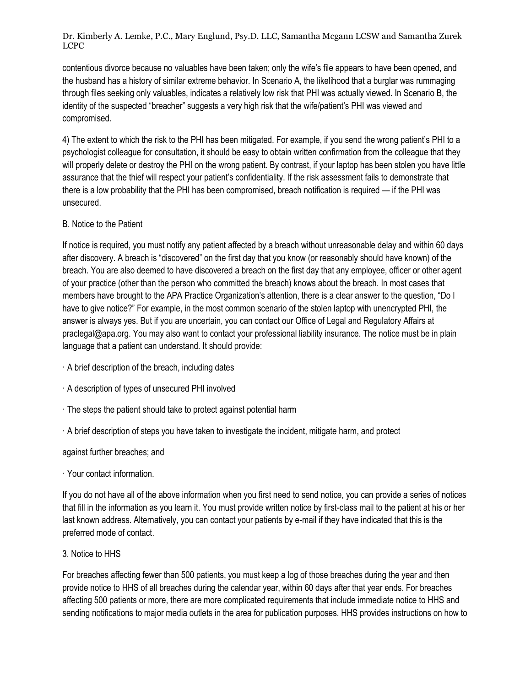Dr. Kimberly A. Lemke, P.C., Mary Englund, Psy.D. LLC, Samantha Mcgann LCSW and Samantha Zurek LCPC

contentious divorce because no valuables have been taken; only the wife's file appears to have been opened, and the husband has a history of similar extreme behavior. In Scenario A, the likelihood that a burglar was rummaging through files seeking only valuables, indicates a relatively low risk that PHI was actually viewed. In Scenario B, the identity of the suspected "breacher" suggests a very high risk that the wife/patient's PHI was viewed and compromised.

4) The extent to which the risk to the PHI has been mitigated. For example, if you send the wrong patient's PHI to a psychologist colleague for consultation, it should be easy to obtain written confirmation from the colleague that they will properly delete or destroy the PHI on the wrong patient. By contrast, if your laptop has been stolen you have little assurance that the thief will respect your patient's confidentiality. If the risk assessment fails to demonstrate that there is a low probability that the PHI has been compromised, breach notification is required — if the PHI was unsecured.

# B. Notice to the Patient

If notice is required, you must notify any patient affected by a breach without unreasonable delay and within 60 days after discovery. A breach is "discovered" on the first day that you know (or reasonably should have known) of the breach. You are also deemed to have discovered a breach on the first day that any employee, officer or other agent of your practice (other than the person who committed the breach) knows about the breach. In most cases that members have brought to the APA Practice Organization's attention, there is a clear answer to the question, "Do I have to give notice?" For example, in the most common scenario of the stolen laptop with unencrypted PHI, the answer is always yes. But if you are uncertain, you can contact our Office of Legal and Regulatory Affairs at praclegal@apa.org. You may also want to contact your professional liability insurance. The notice must be in plain language that a patient can understand. It should provide:

- · A brief description of the breach, including dates
- · A description of types of unsecured PHI involved
- · The steps the patient should take to protect against potential harm
- · A brief description of steps you have taken to investigate the incident, mitigate harm, and protect

against further breaches; and

### · Your contact information.

If you do not have all of the above information when you first need to send notice, you can provide a series of notices that fill in the information as you learn it. You must provide written notice by first-class mail to the patient at his or her last known address. Alternatively, you can contact your patients by e-mail if they have indicated that this is the preferred mode of contact.

### 3. Notice to HHS

For breaches affecting fewer than 500 patients, you must keep a log of those breaches during the year and then provide notice to HHS of all breaches during the calendar year, within 60 days after that year ends. For breaches affecting 500 patients or more, there are more complicated requirements that include immediate notice to HHS and sending notifications to major media outlets in the area for publication purposes. HHS provides instructions on how to